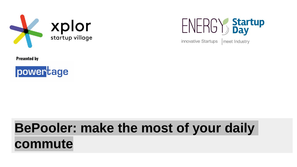



innovative Startups meet Industry

**Presented by**



# **BePooler: make the most of your daily commute**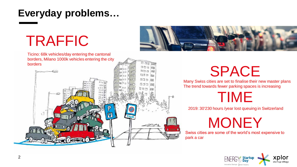## **Everyday problems…**

# TRAFFIC







# SPACE

Many Swiss cities are set to finalise their new master plans The trend towards fewer parking spaces is increasing

# TIME

2019: 30'230 hours /year lost queuing in Switzerland

**MONEY** 

Swiss cities are some of the world's most expensive to park a car

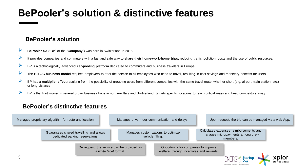### **BePooler's solution & distinctive features**

#### **BePooler's solution**

- ➢ **BePooler SA** ("**BP**" or the "**Company**") was born in Switzerland in 2015.
- ➢ It provides companies and commuters with <sup>a</sup> fast and safe way to **share their home-work-home trips**, reducing traffic, pollution, costs and the use of public resources.
- ➢ BP is <sup>a</sup> technologically advanced **car-pooling platform** dedicated to commuters and business travelers in Europe.
- The **B2B2C** business model requires employers to offer the service to all employees who need to travel, resulting in cost savings and monetary benefits for users.
- ➢ BP has <sup>a</sup> **multiplier effect** resulting from the possibility of grouping users from different companies with the same travel route, whether short (e.g. airport, train station, etc.) or long distance.
- BP is the first mover in several urban business hubs in northern Italy and Switzerland, targets specific locations to reach critical mass and keep competitors away.

#### **BePooler's distinctive features**

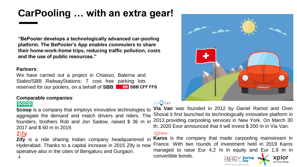# **CarPooling … with an extra gear!**

**"BePooler develops a technologically advanced car-pooling platform. The BePooler's App enables commuters to share their home-work-home trips, reducing traffic pollution, costs and the use of public resources."**

#### **Partners**:

We have carried out a project in Chiasso, Balerna and Stabio/SBB RailwayStations: 7 cost free parking lots reserved for our poolers, on a behalf of **SBB**.

#### **Comparable companies**:

#### $|$ sc $\infty$ p

**Scoop** is a company that employs innovative technologies to aggregate the demand and match drivers and riders. The founders, brothers Rob and Jon Sadow, raised \$ 36 m in 2017 and \$ 60 m in 2019.

#### **Zify**

**Zify** is a ride sharing Indian company headquartered in Hyderabad. Thanks to a capital increase in 2015 Zify is now operative also in the cities of Bengaluru and Gurgaon.

#### VIA VAN

**Via Van** was founded in 2012 by Daniel Ramot and Oren Shoval it first launched its technologically innovative platform in 2013 providing carpooling services in New York. On March 30 th, 2020 Exor announced that it will invest \$ 200 m in Via Van.

#### **My karos**

**B Karos** is the company that made carpooling mainstream in France. With two rounds of investment held in 2019 Karos managed to raise Eur 4,2 m in equity and Eur 1,9 m in convertible bonds.

nnovative Startups Imeet Industri



4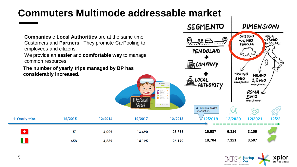### **Commuters Multimode addressable market**

**Companies** e **Local Authorities** are at the same time Customers and **Partners**. They promote CarPooling to employees and citizens.

We provide an **easier** and **comfortable way** to manage common resources.

**The number of yearly trips managed by BP has considerably increased.**



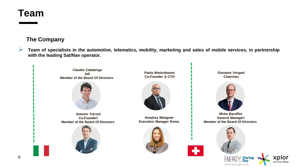### **Team**

#### **The Company**

 $\triangleright$  Team of specialists in the automotive, telematics, mobility, marketing and sales of mobile services, in partnership **with the leading Sat/Nav operator.**



innovative Startups meet Industry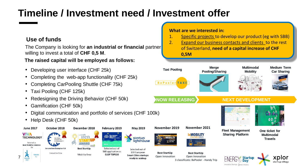## **Timeline / Investment need / Investment offer**

#### **Use of funds**

The Company is looking for **an industrial or financial** partner willing to invest a total of **CHF 0,5 M**.

#### **The raised capital will be employed as follows:**

- Developing user interface (CHF 25k)
- Completing the web-app functionality (CHF 25k)
- Completing CarPooling Shuttle (CHF 75k)
- Taxi Pooling (CHF 125k)
- Redesigning the Driving Behavior (CHF 50k)
- Gamification (CHF 50k)
- Digital communication and portfolio of services (CHF 100k)
- Help Desk (CHF 50k)

7





innovative Startune

3 classificato: BePooler - Handy Trip